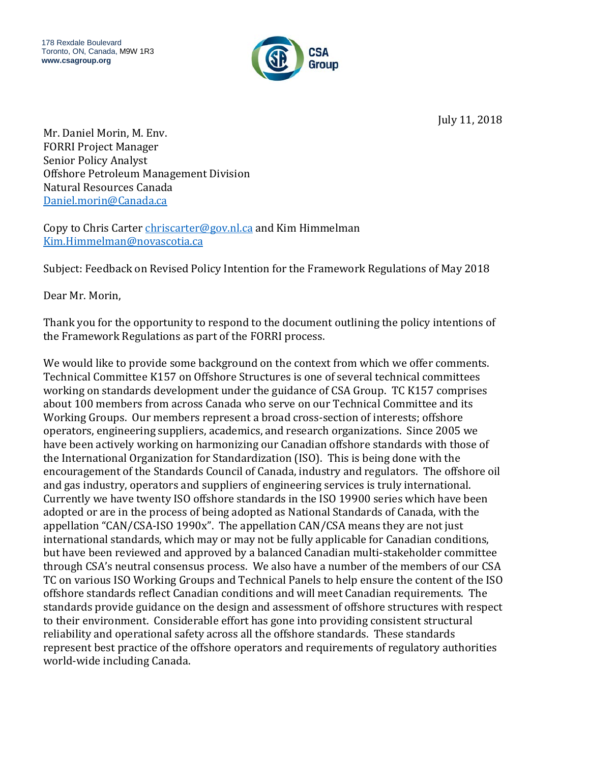

July 11, 2018

Mr. Daniel Morin, M. Env. FORRI Project Manager Senior Policy Analyst Offshore Petroleum Management Division Natural Resources Canada [Daniel.morin@Canada.ca](mailto:Daniel.morin@Canada.ca)

Copy to Chris Carter [chriscarter@gov.nl.ca](mailto:chriscarter@gov.nl.ca) and Kim Himmelman [Kim.Himmelman@novascotia.ca](mailto:Kim.Himmelman@novascotia.ca)

Subject: Feedback on Revised Policy Intention for the Framework Regulations of May 2018

Dear Mr. Morin,

Thank you for the opportunity to respond to the document outlining the policy intentions of the Framework Regulations as part of the FORRI process.

We would like to provide some background on the context from which we offer comments. Technical Committee K157 on Offshore Structures is one of several technical committees working on standards development under the guidance of CSA Group. TC K157 comprises about 100 members from across Canada who serve on our Technical Committee and its Working Groups. Our members represent a broad cross-section of interests; offshore operators, engineering suppliers, academics, and research organizations. Since 2005 we have been actively working on harmonizing our Canadian offshore standards with those of the International Organization for Standardization (ISO). This is being done with the encouragement of the Standards Council of Canada, industry and regulators. The offshore oil and gas industry, operators and suppliers of engineering services is truly international. Currently we have twenty ISO offshore standards in the ISO 19900 series which have been adopted or are in the process of being adopted as National Standards of Canada, with the appellation "CAN/CSA-ISO 1990x". The appellation CAN/CSA means they are not just international standards, which may or may not be fully applicable for Canadian conditions, but have been reviewed and approved by a balanced Canadian multi-stakeholder committee through CSA's neutral consensus process. We also have a number of the members of our CSA TC on various ISO Working Groups and Technical Panels to help ensure the content of the ISO offshore standards reflect Canadian conditions and will meet Canadian requirements. The standards provide guidance on the design and assessment of offshore structures with respect to their environment. Considerable effort has gone into providing consistent structural reliability and operational safety across all the offshore standards. These standards represent best practice of the offshore operators and requirements of regulatory authorities world-wide including Canada.